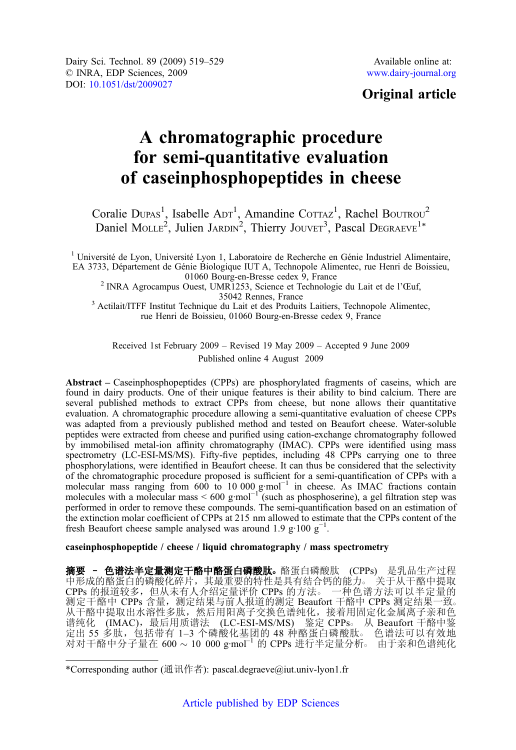Dairy Sci. Technol. 89 (2009) 519–529 © INRA, EDP Sciences, 2009 DOI: [10.1051/dst/2009027](http://dx.doi.org/10.1051/dst/2009027)

# Original article

# A chromatographic procedure for semi-quantitative evaluation of caseinphosphopeptides in cheese

Coralie DUPAS<sup>1</sup>, Isabelle ADT<sup>1</sup>, Amandine COTTAZ<sup>1</sup>, Rachel BOUTROU<sup>2</sup> Daniel MOLLE<sup>2</sup>, Julien JARDIN<sup>2</sup>, Thierry JOUVET<sup>3</sup>, Pascal DEGRAEVE<sup>1\*</sup>

<sup>1</sup> Université de Lyon, Université Lyon 1, Laboratoire de Recherche en Génie Industriel Alimentaire, EA 3733, Département de Génie Biologique IUT A, Technopole Alimentec, rue Henri de Boissieu,

<sup>2</sup> INRA Agrocampus Ouest, UMR1253, Science et Technologie du Lait et de l'Œuf,  $35042$  Rennes, France

<sup>3</sup> Actilait/ITFF Institut Technique du Lait et des Produits Laitiers, Technopole Alimentec, rue Henri de Boissieu, 01060 Bourg-en-Bresse cedex 9, France

Received 1st February 2009 – Revised 19 May 2009 – Accepted 9 June 2009 Published online 4 August 2009

Abstract – Caseinphosphopeptides (CPPs) are phosphorylated fragments of caseins, which are found in dairy products. One of their unique features is their ability to bind calcium. There are several published methods to extract CPPs from cheese, but none allows their quantitative evaluation. A chromatographic procedure allowing a semi-quantitative evaluation of cheese CPPs was adapted from a previously published method and tested on Beaufort cheese. Water-soluble peptides were extracted from cheese and purified using cation-exchange chromatography followed by immobilised metal-ion affinity chromatography (IMAC). CPPs were identified using mass spectrometry (LC-ESI-MS/MS). Fifty-five peptides, including 48 CPPs carrying one to three phosphorylations, were identified in Beaufort cheese. It can thus be considered that the selectivity of the chromatographic procedure proposed is sufficient for a semi-quantification of CPPs with a molecular mass ranging from 600 to 10 000 g·mol<sup>-1</sup> in cheese. As IMAC fractions contain molecules with a molecular mass < 600 g·mol<sup>-1</sup> (such as phosphoserine), a gel filtration step was performed in order to remove these compounds. The semi-quantification based on an estimation of the extinction molar coefficient of CPPs at 215 nm allowed to estimate that the CPPs content of the fresh Beaufort cheese sample analysed was around 1.9  $g \cdot 100 g^{-1}$ .

# caseinphosphopeptide / cheese / liquid chromatography / mass spectrometry

摘要 - 色谱法半定量测定干酪中酪蛋白磷酸肽。酪蛋白磷酸肽 (CPPs) 是乳品生产过程 中形成的酪蛋白的磷酸化碎片,其最重要的特性是具有结合钙的能力。关于从干酪中提取<br>CPPs 的报道较多,但从未有人介绍定量评价 CPPs 的方法。 一种色谱方法可以半定量的 CPPs 的报道较多,但从未有人介绍定量评价 CPPs 的方法。 测定干酪中 CPPs 含量,测定结果与前人报道的测定 Beaufort 干酪中 CPPs 测定结果一致○ 从干酪中提取出水溶性多肽,然后用阳离子交换色谱纯化,接着用固定化金属离子亲和色 谱纯化 (IMAC), 最后用质谱法 (LC-ESI-MS/MS) 鉴定 CPPs。 从 Beaufort 干酪中鉴 定出 55 多肽, 包括带有 1-3 个磷酸化基团的 48 种酪蛋白磷酸肽。 色谱法可以有效地 对对干酪中分子量在 600 ~ 10 000 g·mol<sup>-1</sup> 的 CPPs 进行半定量分析。由于亲和色谱纯化

<sup>\*</sup>Corresponding author (通讯作者): pascal.degraeve@iut.univ-lyon1.fr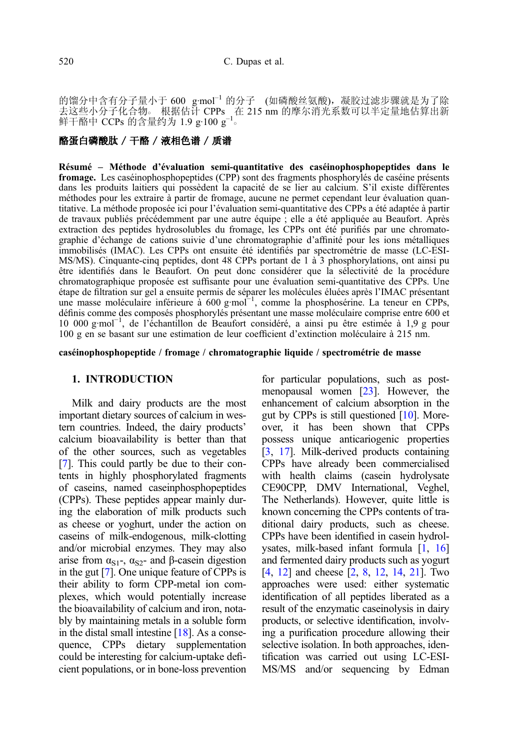的馏分中含有分子量小于 600 g·mol<sup>-1</sup> 的分子 (如磷酸丝氨酸), 凝胶过滤步骤就是为了除 去这些小分子化合物。 根据估计 CPPs 在 215 nm 的摩尔消光系数可以半定量地估算出新 鲜干酪中 CCPs 的含量约为 1.9  $\rm g{\cdot}$ 100  $\rm g^{\text{-}1}$ 。

# 酪蛋白磷酸肽 / 干酪 / 液相色谱 / 质谱

Résumé – Méthode d'évaluation semi-quantitative des caséinophosphopeptides dans le fromage. Les caséinophosphopeptides (CPP) sont des fragments phosphorylés de caséine présents dans les produits laitiers qui possèdent la capacité de se lier au calcium. S'il existe différentes méthodes pour les extraire à partir de fromage, aucune ne permet cependant leur évaluation quantitative. La méthode proposée ici pour l'évaluation semi-quantitative des CPPs a été adaptée à partir de travaux publiés précédemment par une autre équipe ; elle a été appliquée au Beaufort. Après extraction des peptides hydrosolubles du fromage, les CPPs ont été purifiés par une chromatographie d'échange de cations suivie d'une chromatographie d'affinité pour les ions métalliques immobilisés (IMAC). Les CPPs ont ensuite été identifiés par spectrométrie de masse (LC-ESI-MS/MS). Cinquante-cinq peptides, dont 48 CPPs portant de 1 à 3 phosphorylations, ont ainsi pu être identifiés dans le Beaufort. On peut donc considérer que la sélectivité de la procédure chromatographique proposée est suffisante pour une évaluation semi-quantitative des CPPs. Une étape de filtration sur gel a ensuite permis de séparer les molécules éluées après l'IMAC présentant une masse moléculaire inférieure à 600 g·mol<sup>-1</sup>, comme la phosphosérine. La teneur en CPPs, définis comme des composés phosphorylés présentant une masse moléculaire comprise entre 600 et 10 000 g·mol−<sup>1</sup> , de l'échantillon de Beaufort considéré, a ainsi pu être estimée à 1,9 g pour 100 g en se basant sur une estimation de leur coefficient d'extinction moléculaire à 215 nm.

caséinophosphopeptide / fromage / chromatographie liquide / spectrométrie de masse

# 1. INTRODUCTION

Milk and dairy products are the most important dietary sources of calcium in western countries. Indeed, the dairy products' calcium bioavailability is better than that of the other sources, such as vegetables [\[7](#page-10-0)]. This could partly be due to their contents in highly phosphorylated fragments of caseins, named caseinphosphopeptides (CPPs). These peptides appear mainly during the elaboration of milk products such as cheese or yoghurt, under the action on caseins of milk-endogenous, milk-clotting and/or microbial enzymes. They may also arise from  $\alpha_{S1}$ -,  $\alpha_{S2}$ - and β-casein digestion in the gut [[7\]](#page-10-0). One unique feature of CPPs is their ability to form CPP-metal ion complexes, which would potentially increase the bioavailability of calcium and iron, notably by maintaining metals in a soluble form in the distal small intestine  $[18]$  $[18]$ . As a consequence, CPPs dietary supplementation could be interesting for calcium-uptake deficient populations, or in bone-loss prevention for particular populations, such as postmenopausal women [\[23\]](#page-10-0). However, the enhancement of calcium absorption in the gut by CPPs is still questioned [\[10\]](#page-10-0). Moreover, it has been shown that CPPs possess unique anticariogenic properties [[3](#page-10-0), [17\]](#page-10-0). Milk-derived products containing CPPs have already been commercialised with health claims (casein hydrolysate CE90CPP, DMV International, Veghel, The Netherlands). However, quite little is known concerning the CPPs contents of traditional dairy products, such as cheese. CPPs have been identified in casein hydrolysates, milk-based infant formula [\[1](#page-9-0), [16](#page-10-0)] and fermented dairy products such as yogurt [[4](#page-10-0), [12](#page-10-0)] and cheese [\[2,](#page-10-0) [8,](#page-10-0) [12,](#page-10-0) [14](#page-10-0), [21](#page-10-0)]. Two approaches were used: either systematic identification of all peptides liberated as a result of the enzymatic caseinolysis in dairy products, or selective identification, involving a purification procedure allowing their selective isolation. In both approaches, identification was carried out using LC-ESI-MS/MS and/or sequencing by Edman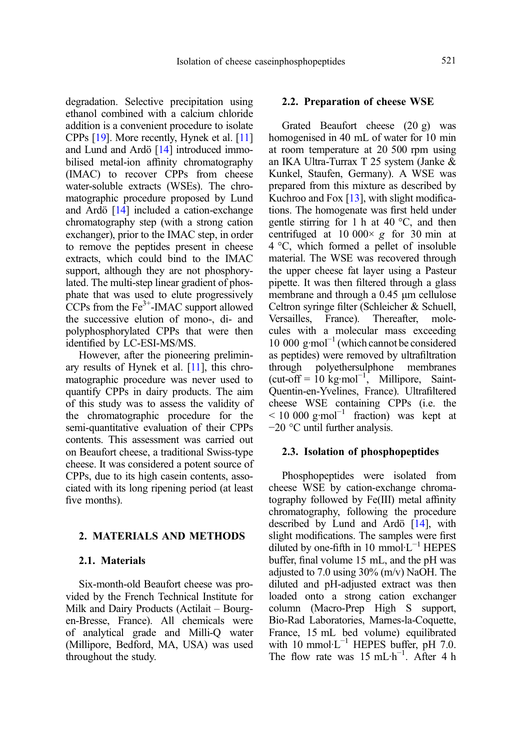degradation. Selective precipitation using ethanol combined with a calcium chloride addition is a convenient procedure to isolate CPPs [\[19](#page-10-0)]. More recently, Hynek et al. [\[11](#page-10-0)] and Lund and Ardö [[14](#page-10-0)] introduced immobilised metal-ion affinity chromatography (IMAC) to recover CPPs from cheese water-soluble extracts (WSEs). The chromatographic procedure proposed by Lund and Ardö [[14](#page-10-0)] included a cation-exchange chromatography step (with a strong cation exchanger), prior to the IMAC step, in order to remove the peptides present in cheese extracts, which could bind to the IMAC support, although they are not phosphorylated. The multi-step linear gradient of phosphate that was used to elute progressively CCPs from the  $Fe<sup>3+</sup>$ -IMAC support allowed the successive elution of mono-, di- and polyphosphorylated CPPs that were then identified by LC-ESI-MS/MS.

However, after the pioneering preliminary results of Hynek et al. [\[11](#page-10-0)], this chromatographic procedure was never used to quantify CPPs in dairy products. The aim of this study was to assess the validity of the chromatographic procedure for the semi-quantitative evaluation of their CPPs contents. This assessment was carried out on Beaufort cheese, a traditional Swiss-type cheese. It was considered a potent source of CPPs, due to its high casein contents, associated with its long ripening period (at least five months).

## 2. MATERIALS AND METHODS

#### 2.1. Materials

Six-month-old Beaufort cheese was provided by the French Technical Institute for Milk and Dairy Products (Actilait – Bourgen-Bresse, France). All chemicals were of analytical grade and Milli-Q water (Millipore, Bedford, MA, USA) was used throughout the study.

#### 2.2. Preparation of cheese WSE

Grated Beaufort cheese (20 g) was homogenised in 40 mL of water for 10 min at room temperature at 20 500 rpm using an IKA Ultra-Turrax T 25 system (Janke & Kunkel, Staufen, Germany). A WSE was prepared from this mixture as described by Kuchroo and Fox [[13](#page-10-0)], with slight modifications. The homogenate was first held under gentle stirring for 1 h at 40 °C, and then<br>centrifuged at 10 000  $\times$  g for 30 min at centrifuged at  $10\,000\times g$  for 30 min at 4 °C, which formed a pellet of insoluble material. The WSE was recovered through the upper cheese fat layer using a Pasteur pipette. It was then filtered through a glass membrane and through a 0.45 μm cellulose Celtron syringe filter (Schleicher & Schuell, Versailles, France). Thereafter, mole-Versailles, France). Thereafter, molecules with a molecular mass exceeding 10 000 g·mol−<sup>1</sup> (which cannot be considered as peptides) were removed by ultrafiltration through polyethersulphone membranes  $(\text{cut-off} = 10 \text{ kg} \cdot \text{mol}^{-1})$ . Millipore, Saint-Quentin-en-Yvelines, France). Ultrafiltered cheese WSE containing CPPs (i.e. the  $< 10000 \text{ g/mol}^{-1}$  fraction) was kept at −20 °C until further analysis.

## 2.3. Isolation of phosphopeptides

Phosphopeptides were isolated from cheese WSE by cation-exchange chromatography followed by Fe(III) metal affinity chromatography, following the procedure described by Lund and Ardö [[14\]](#page-10-0), with slight modifications. The samples were first diluted by one-fifth in 10 mmol·L−<sup>1</sup> HEPES buffer, final volume 15 mL, and the pH was adjusted to 7.0 using 30% (m/v) NaOH. The diluted and pH-adjusted extract was then loaded onto a strong cation exchanger column (Macro-Prep High S support, Bio-Rad Laboratories, Marnes-la-Coquette, France, 15 mL bed volume) equilibrated with 10 mmol·L<sup>-1</sup> HEPES buffer, pH 7.0. The flow rate was 15 mL·h<sup>-1</sup>. After 4 h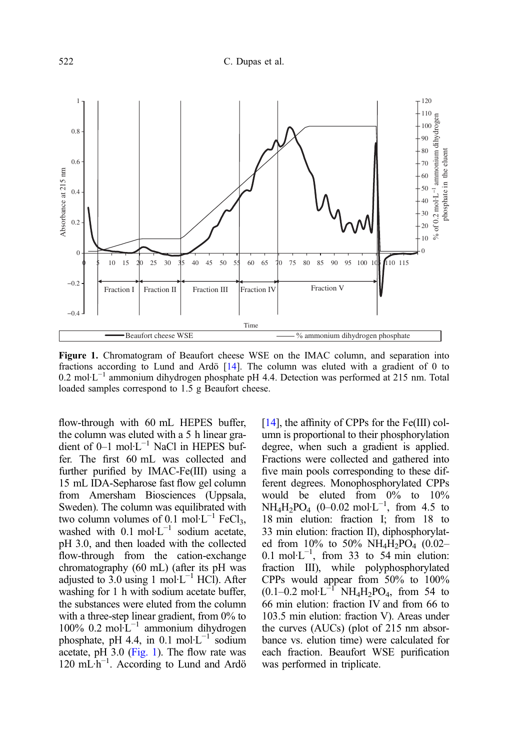<span id="page-3-0"></span>

Figure 1. Chromatogram of Beaufort cheese WSE on the IMAC column, and separation into fractions according to Lund and Ardö [[14\]](#page-10-0). The column was eluted with a gradient of 0 to 0.2 mol·L−<sup>1</sup> ammonium dihydrogen phosphate pH 4.4. Detection was performed at 215 nm. Total loaded samples correspond to 1.5 g Beaufort cheese.

flow-through with 60 mL HEPES buffer, the column was eluted with a 5 h linear gradient of 0–1 mol·L−<sup>1</sup> NaCl in HEPES buffer. The first 60 mL was collected and further purified by IMAC-Fe(III) using a 15 mL IDA-Sepharose fast flow gel column from Amersham Biosciences (Uppsala, Sweden). The column was equilibrated with two column volumes of 0.1 mol⋅L<sup>-1</sup> FeCl<sub>3</sub>, washed with  $0.1 \text{ mol} \cdot L^{-1}$  sodium acetate, pH 3.0, and then loaded with the collected flow-through from the cation-exchange chromatography (60 mL) (after its pH was adjusted to 3.0 using 1 mol⋅L<sup>-1</sup> HCl). After washing for 1 h with sodium acetate buffer, the substances were eluted from the column with a three-step linear gradient, from 0% to 100% 0.2 mol·L−<sup>1</sup> ammonium dihydrogen phosphate, pH 4.4, in  $0.1 \text{ mol} \cdot L^{-1}$  sodium acetate, pH 3.0 (Fig. 1). The flow rate was 120 mL·h−<sup>1</sup> . According to Lund and Ardö

[[14](#page-10-0)], the affinity of CPPs for the Fe(III) column is proportional to their phosphorylation degree, when such a gradient is applied. Fractions were collected and gathered into five main pools corresponding to these different degrees. Monophosphorylated CPPs would be eluted from 0% to 10% NH<sub>4</sub>H<sub>2</sub>PO<sub>4</sub> (0–0.02 mol·L<sup>-1</sup>, from 4.5 to 18 min elution: fraction I; from 18 to 33 min elution: fraction II), diphosphorylated from 10% to 50%  $NH_4H_2PO_4$  (0.02– 0.1 mol·L<sup>-1</sup>, from 33 to 54 min elution: fraction III), while polyphosphorylated CPPs would appear from 50% to 100%  $(0.1–0.2 \text{ mol} \cdot \text{L}^{-1} \text{NH}_4\text{H}_2\text{PO}_4$ , from 54 to 66 min elution: fraction IV and from 66 to 103.5 min elution: fraction V). Areas under the curves (AUCs) (plot of 215 nm absorbance vs. elution time) were calculated for each fraction. Beaufort WSE purification was performed in triplicate.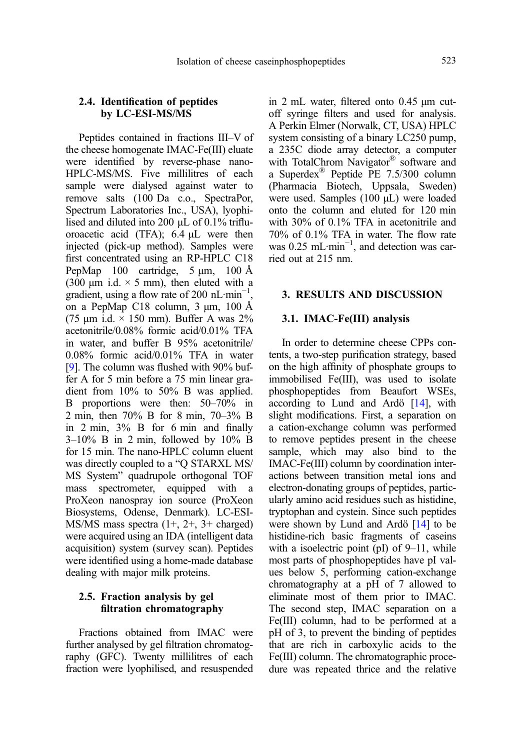# 2.4. Identification of peptides by LC-ESI-MS/MS

Peptides contained in fractions III–V of the cheese homogenate IMAC-Fe(III) eluate were identified by reverse-phase nano-HPLC-MS/MS. Five millilitres of each sample were dialysed against water to remove salts (100 Da c.o., SpectraPor, Spectrum Laboratories Inc., USA), lyophilised and diluted into 200 μL of 0.1% trifluoroacetic acid (TFA); 6.4 μL were then injected (pick-up method). Samples were first concentrated using an RP-HPLC C18 PepMap 100 cartridge, 5 μm, 100 Å (300  $\mu$ m i.d.  $\times$  5 mm), then eluted with a gradient, using a flow rate of 200 nL·min<sup>-1</sup>, on a PepMap C18 column, 3 μm, 100 Å (75 μm i.d.  $\times$  150 mm). Buffer A was 2% acetonitrile/0.08% formic acid/0.01% TFA in water, and buffer B 95% acetonitrile/ 0.08% formic acid/0.01% TFA in water [[9](#page-10-0)]. The column was flushed with 90% buffer A for 5 min before a 75 min linear gradient from 10% to 50% B was applied. B proportions were then: 50–70% in 2 min, then 70% B for 8 min, 70–3% B in 2 min, 3% B for 6 min and finally  $3-10\%$  B in 2 min, followed by  $10\%$  B for 15 min. The nano-HPLC column eluent was directly coupled to a "Q STARXL MS/ MS System" quadrupole orthogonal TOF mass spectrometer, equipped with a ProXeon nanospray ion source (ProXeon Biosystems, Odense, Denmark). LC-ESI-MS/MS mass spectra (1+, 2+, 3+ charged) were acquired using an IDA (intelligent data acquisition) system (survey scan). Peptides were identified using a home-made database dealing with major milk proteins.

# 2.5. Fraction analysis by gel filtration chromatography

Fractions obtained from IMAC were further analysed by gel filtration chromatography (GFC). Twenty millilitres of each fraction were lyophilised, and resuspended in 2 mL water, filtered onto 0.45 μm cutoff syringe filters and used for analysis. A Perkin Elmer (Norwalk, CT, USA) HPLC system consisting of a binary LC250 pump, a 235C diode array detector, a computer with TotalChrom Navigator<sup>®</sup> software and a Superdex® Peptide PE 7.5/300 column (Pharmacia Biotech, Uppsala, Sweden) were used. Samples (100 μL) were loaded onto the column and eluted for 120 min with 30% of 0.1% TFA in acetonitrile and 70% of 0.1% TFA in water. The flow rate was 0.25 mL·min<sup>-1</sup>, and detection was carried out at 215 nm.

# 3. RESULTS AND DISCUSSION

## 3.1. IMAC-Fe(III) analysis

In order to determine cheese CPPs contents, a two-step purification strategy, based on the high affinity of phosphate groups to immobilised Fe(III), was used to isolate phosphopeptides from Beaufort WSEs, according to Lund and Ardö [[14](#page-10-0)], with slight modifications. First, a separation on a cation-exchange column was performed to remove peptides present in the cheese sample, which may also bind to the IMAC-Fe(III) column by coordination interactions between transition metal ions and electron-donating groups of peptides, particularly amino acid residues such as histidine, tryptophan and cystein. Since such peptides were shown by Lund and Ardö [\[14\]](#page-10-0) to be histidine-rich basic fragments of caseins with a isoelectric point (pI) of 9–11, while most parts of phosphopeptides have pI values below 5, performing cation-exchange chromatography at a pH of 7 allowed to eliminate most of them prior to IMAC. The second step, IMAC separation on a Fe(III) column, had to be performed at a pH of 3, to prevent the binding of peptides that are rich in carboxylic acids to the Fe(III) column. The chromatographic procedure was repeated thrice and the relative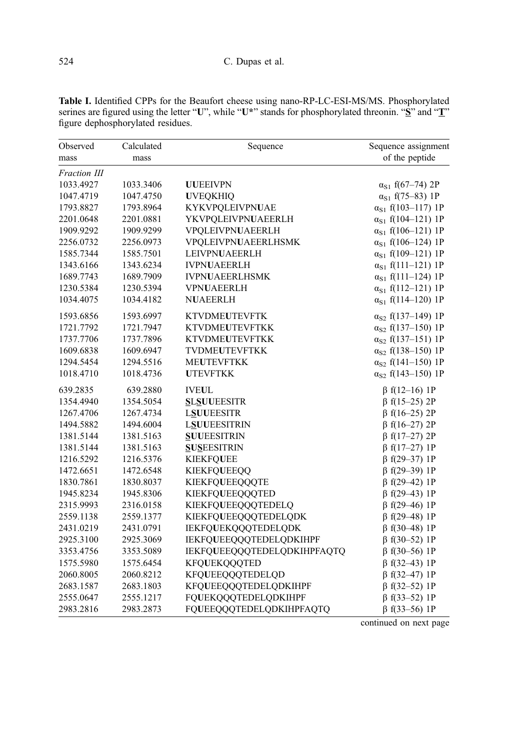| Observed     | Calculated | Sequence                    | Sequence assignment         |
|--------------|------------|-----------------------------|-----------------------------|
| mass         | mass       |                             | of the peptide              |
| Fraction III |            |                             |                             |
| 1033.4927    | 1033.3406  | <b>UUEEIVPN</b>             | $\alpha_{S1}$ f(67-74) 2P   |
| 1047.4719    | 1047.4750  | <b>UVEQKHIQ</b>             | $\alpha_{S1}$ f(75–83) 1P   |
| 1793.8827    | 1793.8964  | KYKVPQLEIVPNUAE             | $\alpha_{S1}$ f(103-117) 1P |
| 2201.0648    | 2201.0881  | YKVPQLEIVPNUAEERLH          | $\alpha_{S1}$ f(104-121) 1P |
| 1909.9292    | 1909.9299  | VPQLEIVPNUAEERLH            | $\alpha_{S1}$ f(106-121) 1P |
| 2256.0732    | 2256.0973  | VPQLEIVPNUAEERLHSMK         | $\alpha_{S1}$ f(106-124) 1P |
| 1585.7344    | 1585.7501  | LEIVPNUAEERLH               | $\alpha_{S1}$ f(109-121) 1P |
| 1343.6166    | 1343.6234  | <b>IVPNUAEERLH</b>          | $\alpha_{S1}$ f(111-121) 1P |
| 1689.7743    | 1689.7909  | <b>IVPNUAEERLHSMK</b>       | $\alpha_{S1}$ f(111-124) 1P |
| 1230.5384    | 1230.5394  | <b>VPNUAEERLH</b>           | $\alpha_{S1}$ f(112–121) 1P |
| 1034.4075    | 1034.4182  | <b>NUAEERLH</b>             | $\alpha_{S1}$ f(114-120) 1P |
| 1593.6856    | 1593.6997  | <b>KTVDMEUTEVFTK</b>        | $\alpha_{S2}$ f(137–149) 1P |
| 1721.7792    | 1721.7947  | <b>KTVDMEUTEVFTKK</b>       | $\alpha_{S2}$ f(137-150) 1P |
| 1737.7706    | 1737.7896  | <b>KTVDMEUTEVFTKK</b>       | $\alpha_{S2}$ f(137-151) 1P |
| 1609.6838    | 1609.6947  | TVDMEUTEVFTKK               | $\alpha_{S2}$ f(138-150) 1P |
| 1294.5454    | 1294.5516  | <b>MEUTEVFTKK</b>           | $\alpha_{S2}$ f(141-150) 1P |
| 1018.4710    | 1018.4736  | <b>UTEVFTKK</b>             | $\alpha_{S2}$ f(143-150) 1P |
| 639.2835     | 639.2880   | <b>IVEUL</b>                | $\beta$ f(12–16) 1P         |
| 1354.4940    | 1354.5054  | <b>SLSUUEESITR</b>          | $\beta$ f(15–25) 2P         |
| 1267.4706    | 1267.4734  | <b>LSUUEESITR</b>           | $\beta$ f(16-25) 2P         |
| 1494.5882    | 1494.6004  | <b>LSUUEESITRIN</b>         | $\beta$ f(16-27) 2P         |
| 1381.5144    | 1381.5163  | <b>SUUEESITRIN</b>          | $\beta$ f(17-27) 2P         |
| 1381.5144    | 1381.5163  | <b>SUSEESITRIN</b>          | $\beta$ f(17-27) 1P         |
| 1216.5292    | 1216.5376  | <b>KIEKFQUEE</b>            | $\beta$ f(29-37) 1P         |
| 1472.6651    | 1472.6548  | <b>KIEKFQUEEQQ</b>          | $\beta$ f(29-39) 1P         |
| 1830.7861    | 1830.8037  | <b>KIEKFQUEEQQQTE</b>       | $\beta$ f(29-42) 1P         |
| 1945.8234    | 1945.8306  | <b>KIEKFQUEEQQQTED</b>      | $\beta$ f(29-43) 1P         |
| 2315.9993    | 2316.0158  | KIEKFQUEEQQQTEDELQ          | $\beta$ f(29-46) 1P         |
| 2559.1138    | 2559.1377  | KIEKFQUEEQQQTEDELQDK        | $\beta$ f(29-48) 1P         |
| 2431.0219    | 2431.0791  | IEKFQUEKQQQTEDELQDK         | $\beta$ f(30-48) 1P         |
| 2925.3100    | 2925.3069  | IEKFQUEEQQQTEDELQDKIHPF     | $\beta$ f(30-52) 1P         |
| 3353.4756    | 3353.5089  | IEKFQUEEQQQTEDELQDKIHPFAQTQ | $\beta$ f(30-56) 1P         |
| 1575.5980    | 1575.6454  | KFQUEKQQQTED                | $\beta$ f(32–43) 1P         |
| 2060.8005    | 2060.8212  | KFQUEEQQQTEDELQD            | $\beta$ f(32–47) 1P         |
| 2683.1587    | 2683.1803  | KFQUEEQQQTEDELQDKIHPF       | $\beta$ f(32-52) 1P         |
| 2555.0647    | 2555.1217  | FQUEKQQQTEDELQDKIHPF        | $\beta$ f(33–52) 1P         |
| 2983.2816    | 2983.2873  | FQUEEQQQTEDELQDKIHPFAQTQ    | $\beta$ f(33–56) 1P         |

<span id="page-5-0"></span>Table I. Identified CPPs for the Beaufort cheese using nano-RP-LC-ESI-MS/MS. Phosphorylated serines are figured using the letter "U", while "U\*" stands for phosphorylated threonin. "S" and "T" figure dephosphorylated residues.

continued on next page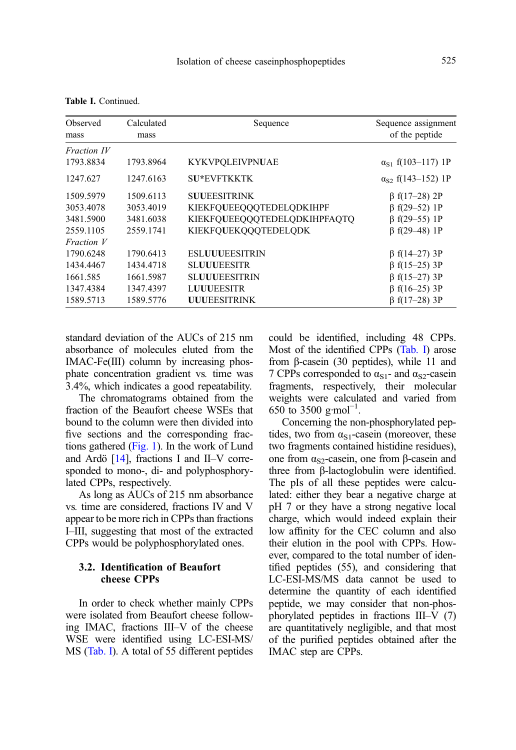| Observed<br>mass | Calculated<br>mass | Sequence                     | Sequence assignment<br>of the peptide |
|------------------|--------------------|------------------------------|---------------------------------------|
| Fraction IV      |                    |                              |                                       |
| 1793.8834        | 1793.8964          | <b>KYKVPOLEIVPNUAE</b>       | $\alpha_{S1}$ f(103-117) 1P           |
| 1247.627         | 1247.6163          | <b>SU*EVFTKKTK</b>           | $\alpha_{S2}$ f(143–152) 1P           |
| 1509.5979        | 1509.6113          | <b>SUUEESITRINK</b>          | $\beta$ f(17-28) 2P                   |
| 3053.4078        | 3053.4019          | KIEKFQUEEQQQTEDELQDKIHPF     | $\beta$ f(29-52) 1P                   |
| 3481.5900        | 3481.6038          | KIEKFQUEEQQQTEDELQDKIHPFAQTQ | $\beta$ f(29-55) 1P                   |
| 2559.1105        | 2559.1741          | KIEKFOUEKOOOTEDELODK         | $\beta$ f(29-48) 1P                   |
| Fraction V       |                    |                              |                                       |
| 1790.6248        | 1790.6413          | <b>ESLUUUEESITRIN</b>        | $\beta$ f(14-27) 3P                   |
| 1434.4467        | 1434.4718          | <b>SLUUUEESITR</b>           | $\beta$ f(15-25) 3P                   |
| 1661.585         | 1661.5987          | <b>SLUUUEESITRIN</b>         | $\beta$ f(15-27) 3P                   |
| 1347.4384        | 1347.4397          | <b>LUUUEESITR</b>            | $\beta$ f(16–25) 3P                   |
| 1589.5713        | 1589.5776          | <b>UUUEESITRINK</b>          | $\beta$ f(17-28) 3P                   |

standard deviation of the AUCs of 215 nm absorbance of molecules eluted from the IMAC-Fe(III) column by increasing phosphate concentration gradient vs. time was 3.4%, which indicates a good repeatability.

The chromatograms obtained from the fraction of the Beaufort cheese WSEs that bound to the column were then divided into five sections and the corresponding fractions gathered ([Fig. 1](#page-3-0)). In the work of Lund and Ardö [\[14\]](#page-10-0), fractions I and II–V corresponded to mono-, di- and polyphosphorylated CPPs, respectively.

As long as AUCs of 215 nm absorbance vs. time are considered, fractions IV and V appear to be more rich in CPPs than fractions I–III, suggesting that most of the extracted CPPs would be polyphosphorylated ones.

# 3.2. Identification of Beaufort cheese CPPs

In order to check whether mainly CPPs were isolated from Beaufort cheese following IMAC, fractions III–V of the cheese WSE were identified using LC-ESI-MS/ MS [\(Tab. I\)](#page-5-0). A total of 55 different peptides could be identified, including 48 CPPs. Most of the identified CPPs [\(Tab. I\)](#page-5-0) arose from β-casein (30 peptides), while 11 and 7 CPPs corresponded to  $\alpha_{S1}$ - and  $\alpha_{S2}$ -casein fragments, respectively, their molecular weights were calculated and varied from 650 to 3500 g·mol<sup>-1</sup>.

Concerning the non-phosphorylated peptides, two from  $\alpha_{S1}$ -casein (moreover, these two fragments contained histidine residues), one from  $α<sub>S2</sub>$ -casein, one from β-casein and three from β-lactoglobulin were identified. The pIs of all these peptides were calculated: either they bear a negative charge at pH 7 or they have a strong negative local charge, which would indeed explain their low affinity for the CEC column and also their elution in the pool with CPPs. However, compared to the total number of identified peptides (55), and considering that LC-ESI-MS/MS data cannot be used to determine the quantity of each identified peptide, we may consider that non-phosphorylated peptides in fractions III–V (7) are quantitatively negligible, and that most of the purified peptides obtained after the IMAC step are CPPs.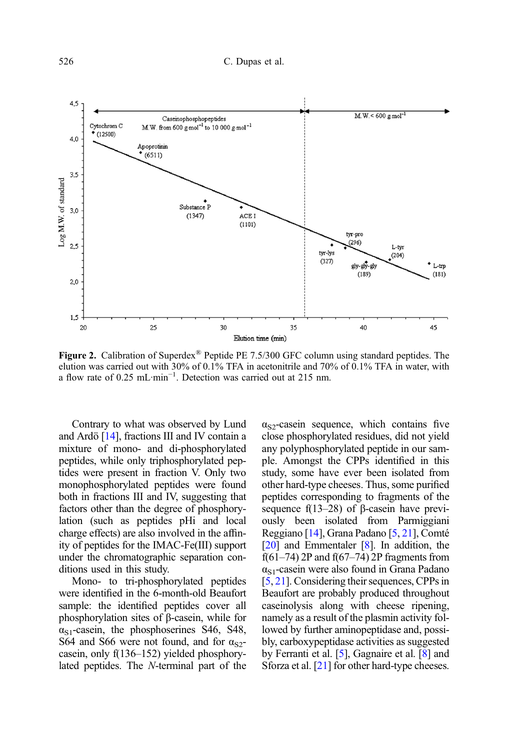<span id="page-7-0"></span>

**Figure 2.** Calibration of Superdex<sup>®</sup> Peptide PE 7.5/300 GFC column using standard peptides. The elution was carried out with 30% of 0.1% TFA in acetonitrile and 70% of 0.1% TFA in water, with a flow rate of 0.25 mL·min−<sup>1</sup> . Detection was carried out at 215 nm.

Contrary to what was observed by Lund and Ardö [\[14\]](#page-10-0), fractions III and IV contain a mixture of mono- and di-phosphorylated peptides, while only triphosphorylated peptides were present in fraction V. Only two monophosphorylated peptides were found both in fractions III and IV, suggesting that factors other than the degree of phosphorylation (such as peptides pHi and local charge effects) are also involved in the affinity of peptides for the IMAC-Fe(III) support under the chromatographic separation conditions used in this study.

Mono- to tri-phosphorylated peptides were identified in the 6-month-old Beaufort sample: the identified peptides cover all phosphorylation sites of β-casein, while for  $\alpha_{S1}$ -casein, the phosphoserines S46, S48, S64 and S66 were not found, and for  $\alpha_{S2}$ casein, only f(136–152) yielded phosphorylated peptides. The N-terminal part of the

 $\alpha_{S2}$ -casein sequence, which contains five close phosphorylated residues, did not yield any polyphosphorylated peptide in our sample. Amongst the CPPs identified in this study, some have ever been isolated from other hard-type cheeses. Thus, some purified peptides corresponding to fragments of the sequence f(13–28) of β-casein have previously been isolated from Parmiggiani Reggiano [[14](#page-10-0)], Grana Padano [\[5](#page-10-0), [21](#page-10-0)], Comté [[20](#page-10-0)] and Emmentaler [[8](#page-10-0)]. In addition, the  $f(61–74)$  2P and  $f(67–74)$  2P fragments from  $\alpha_{S1}$ -casein were also found in Grana Padano [[5](#page-10-0), [21](#page-10-0)]. Considering their sequences, CPPs in Beaufort are probably produced throughout caseinolysis along with cheese ripening, namely as a result of the plasmin activity followed by further aminopeptidase and, possibly, carboxypeptidase activities as suggested by Ferranti et al. [\[5](#page-10-0)], Gagnaire et al. [[8\]](#page-10-0) and Sforza et al. [[21](#page-10-0)] for other hard-type cheeses.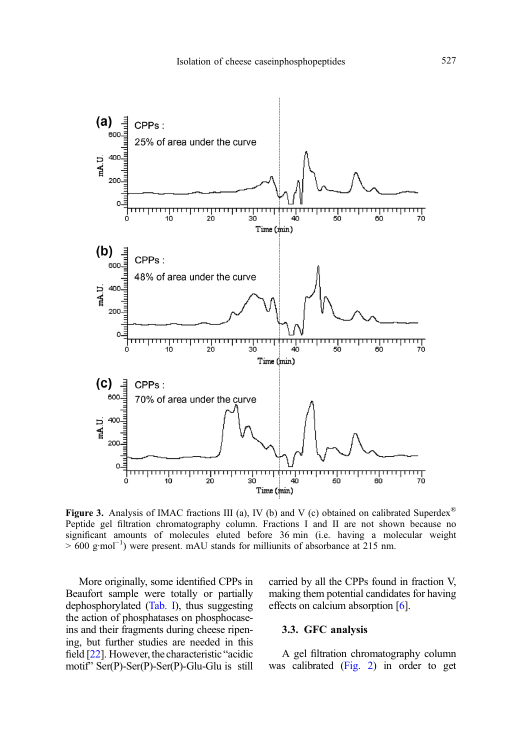<span id="page-8-0"></span>

**Figure 3.** Analysis of IMAC fractions III (a), IV (b) and V (c) obtained on calibrated Superdex<sup>®</sup> Peptide gel filtration chromatography column. Fractions I and II are not shown because no significant amounts of molecules eluted before 36 min (i.e. having a molecular weight > 600 g·mol<sup>-1</sup>) were present. mAU stands for milliunits of absorbance at 215 nm.

More originally, some identified CPPs in Beaufort sample were totally or partially dephosphorylated [\(Tab. I\)](#page-5-0), thus suggesting the action of phosphatases on phosphocaseins and their fragments during cheese ripening, but further studies are needed in this field [[22](#page-10-0)]. However, the characteristic "acidic motif" Ser(P)-Ser(P)-Ser(P)-Glu-Glu is still carried by all the CPPs found in fraction V, making them potential candidates for having effects on calcium absorption [\[6\]](#page-10-0).

## 3.3. GFC analysis

A gel filtration chromatography column was calibrated [\(Fig. 2](#page-7-0)) in order to get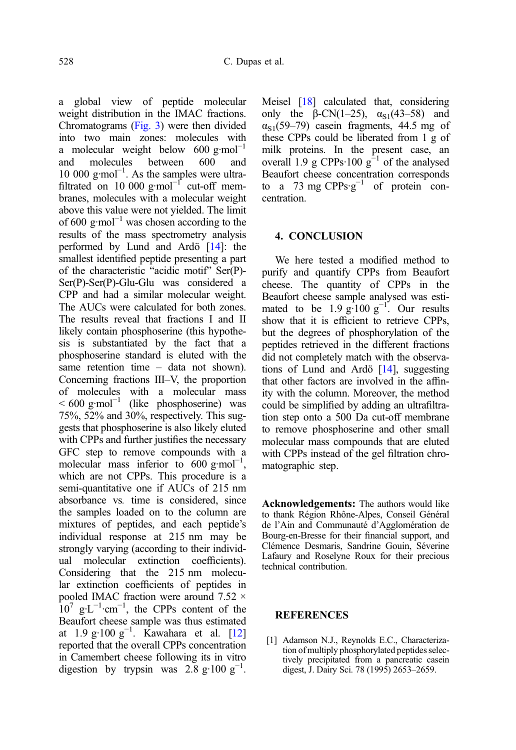<span id="page-9-0"></span>a global view of peptide molecular weight distribution in the IMAC fractions. Chromatograms [\(Fig. 3](#page-8-0)) were then divided into two main zones: molecules with a molecular weight below  $600 \text{ g/mol}^{-1}$ <br>and molecules between  $600 \text{ and}$ molecules between 600 and 10 000 g·mol−<sup>1</sup> . As the samples were ultrafiltrated on 10 000 g·mol<sup>-1</sup> cut-off membranes, molecules with a molecular weight above this value were not yielded. The limit of 600 g·mol<sup>-1</sup> was chosen according to the results of the mass spectrometry analysis performed by Lund and Ardö [\[14\]](#page-10-0): the smallest identified peptide presenting a part of the characteristic "acidic motif" Ser(P)- Ser(P)-Ser(P)-Glu-Glu was considered a CPP and had a similar molecular weight. The AUCs were calculated for both zones. The results reveal that fractions I and II likely contain phosphoserine (this hypothesis is substantiated by the fact that a phosphoserine standard is eluted with the same retention time – data not shown). Concerning fractions III–V, the proportion of molecules with a molecular mass  $\leq 600$  g·mol<sup>-1</sup> (like phosphoserine) was 75%, 52% and 30%, respectively. This suggests that phosphoserine is also likely eluted with CPPs and further justifies the necessary GFC step to remove compounds with a molecular mass inferior to  $600 \text{ g/mol}^{-1}$ , which are not CPPs. This procedure is a semi-quantitative one if AUCs of 215 nm absorbance vs. time is considered, since the samples loaded on to the column are mixtures of peptides, and each peptide's individual response at 215 nm may be strongly varying (according to their individual molecular extinction coefficients). Considering that the 215 nm molecular extinction coefficients of peptides in pooled IMAC fraction were around 7.52 ×  $10^7$  g⋅L<sup>-1</sup>⋅cm<sup>-1</sup>, the CPPs content of the Beaufort cheese sample was thus estimated at 1.9 g·100 g−<sup>1</sup> . Kawahara et al. [\[12](#page-10-0)] reported that the overall CPPs concentration in Camembert cheese following its in vitro digestion by trypsin was  $2.\overline{8}$  g·100 g<sup>-1</sup>.

Meisel [[18](#page-10-0)] calculated that, considering only the  $\beta$ -CN(1–25),  $\alpha_{S1}(43-58)$  and  $\alpha_{S1}(59-79)$  casein fragments, 44.5 mg of these CPPs could be liberated from 1 g of milk proteins. In the present case, an overall 1.9 g CPPs·100  $g^{-1}$  of the analysed Beaufort cheese concentration corresponds to a 73 mg CPPs· $g^{-1}$  of protein concentration.

### 4. CONCLUSION

We here tested a modified method to purify and quantify CPPs from Beaufort cheese. The quantity of CPPs in the Beaufort cheese sample analysed was estimated to be  $1.9 \text{ g} \cdot 100 \text{ g}^{-1}$ . Our results show that it is efficient to retrieve CPPs, but the degrees of phosphorylation of the peptides retrieved in the different fractions did not completely match with the observations of Lund and Ardö [\[14](#page-10-0)], suggesting that other factors are involved in the affinity with the column. Moreover, the method could be simplified by adding an ultrafiltration step onto a 500 Da cut-off membrane to remove phosphoserine and other small molecular mass compounds that are eluted with CPPs instead of the gel filtration chromatographic step.

Acknowledgements: The authors would like to thank Région Rhône-Alpes, Conseil Général de l'Ain and Communauté d'Agglomération de Bourg-en-Bresse for their financial support, and Clémence Desmaris, Sandrine Gouin, Séverine Lafaury and Roselyne Roux for their precious technical contribution.

#### **REFERENCES**

[1] Adamson N.J., Reynolds E.C., Characterization of multiply phosphorylated peptides selectively precipitated from a pancreatic casein digest, J. Dairy Sci. 78 (1995) 2653–2659.